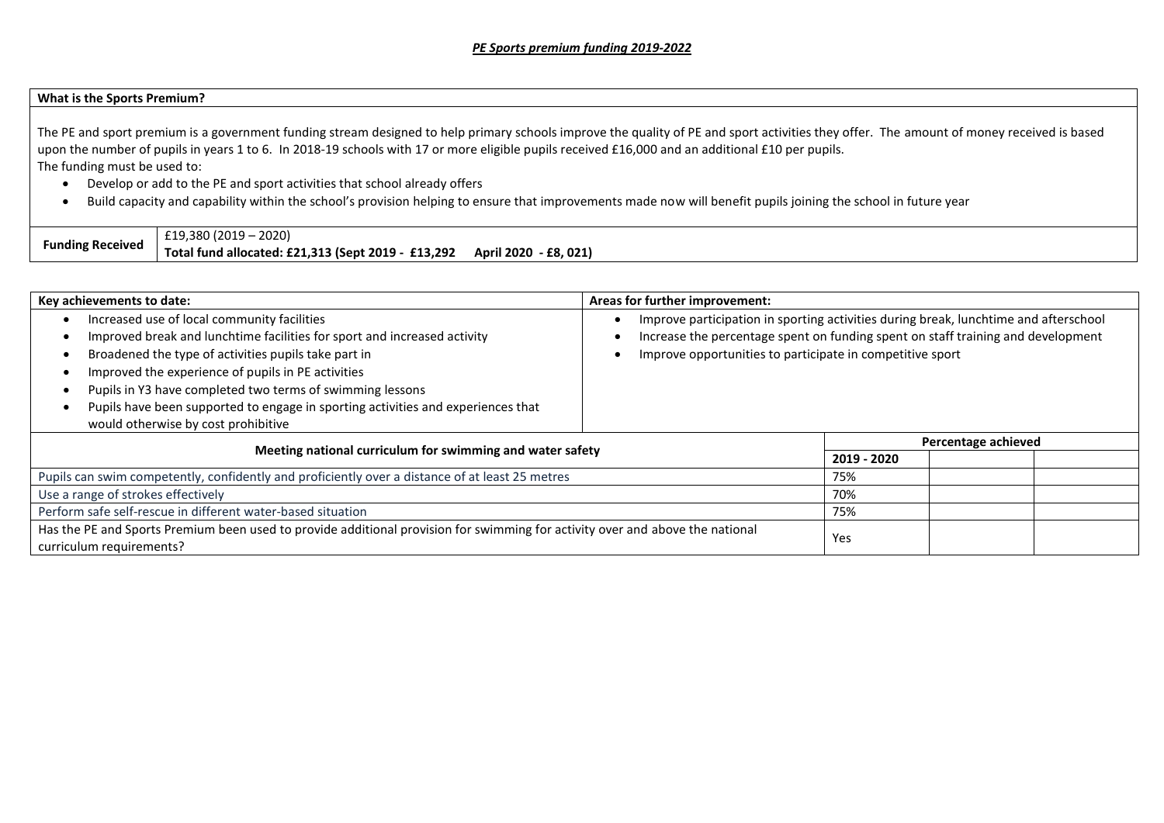## **What is the Sports Premium?**

The PE and sport premium is a government funding stream designed to help primary schools improve the quality of PE and sport activities they offer. The amount of money received is based upon the number of pupils in years 1 to 6. In 2018-19 schools with 17 or more eligible pupils received £16,000 and an additional £10 per pupils. The funding must be used to:

- Develop or add to the PE and sport activities that school already offers
- Build capacity and capability within the school's provision helping to ensure that improvements made now will benefit pupils joining the school in future year

| <b>Funding Received</b> | £19,380 (2019 – 2020)                                                     |  |
|-------------------------|---------------------------------------------------------------------------|--|
|                         | Total fund allocated: £21,313 (Sept 2019 - £13,292  April 2020 - £8, 021) |  |

| Key achievements to date:                                                                                                                                                                                                                                                                                                                                                                                                     | Areas for further improvement:                                                                                                                                                                                                        |             |                     |  |
|-------------------------------------------------------------------------------------------------------------------------------------------------------------------------------------------------------------------------------------------------------------------------------------------------------------------------------------------------------------------------------------------------------------------------------|---------------------------------------------------------------------------------------------------------------------------------------------------------------------------------------------------------------------------------------|-------------|---------------------|--|
| Increased use of local community facilities<br>Improved break and lunchtime facilities for sport and increased activity<br>Broadened the type of activities pupils take part in<br>Improved the experience of pupils in PE activities<br>Pupils in Y3 have completed two terms of swimming lessons<br>Pupils have been supported to engage in sporting activities and experiences that<br>would otherwise by cost prohibitive | Improve participation in sporting activities during break, lunchtime and afterschool<br>Increase the percentage spent on funding spent on staff training and development<br>Improve opportunities to participate in competitive sport |             |                     |  |
| Meeting national curriculum for swimming and water safety                                                                                                                                                                                                                                                                                                                                                                     |                                                                                                                                                                                                                                       | 2019 - 2020 | Percentage achieved |  |
|                                                                                                                                                                                                                                                                                                                                                                                                                               |                                                                                                                                                                                                                                       | 75%         |                     |  |
| Pupils can swim competently, confidently and proficiently over a distance of at least 25 metres                                                                                                                                                                                                                                                                                                                               |                                                                                                                                                                                                                                       | 70%         |                     |  |
| Use a range of strokes effectively                                                                                                                                                                                                                                                                                                                                                                                            |                                                                                                                                                                                                                                       |             |                     |  |
| Perform safe self-rescue in different water-based situation                                                                                                                                                                                                                                                                                                                                                                   |                                                                                                                                                                                                                                       | 75%         |                     |  |
| Has the PE and Sports Premium been used to provide additional provision for swimming for activity over and above the national<br>curriculum requirements?                                                                                                                                                                                                                                                                     |                                                                                                                                                                                                                                       | Yes         |                     |  |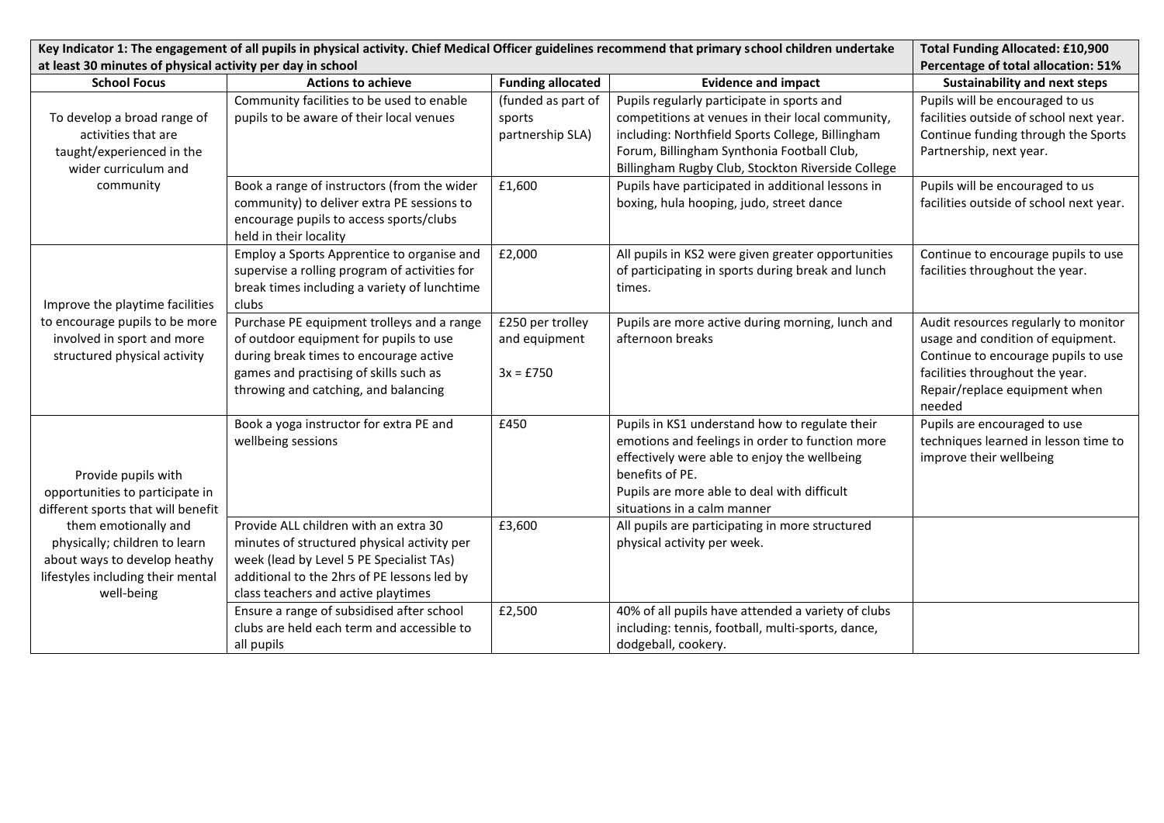| Key Indicator 1: The engagement of all pupils in physical activity. Chief Medical Officer guidelines recommend that primary school children undertake<br>at least 30 minutes of physical activity per day in school |                                                                                                                                                                                                                        |                                                  |                                                                                                                                                                                                                                                       | <b>Total Funding Allocated: £10,900</b><br>Percentage of total allocation: 51%                                                                                                                 |
|---------------------------------------------------------------------------------------------------------------------------------------------------------------------------------------------------------------------|------------------------------------------------------------------------------------------------------------------------------------------------------------------------------------------------------------------------|--------------------------------------------------|-------------------------------------------------------------------------------------------------------------------------------------------------------------------------------------------------------------------------------------------------------|------------------------------------------------------------------------------------------------------------------------------------------------------------------------------------------------|
| <b>School Focus</b>                                                                                                                                                                                                 | <b>Actions to achieve</b>                                                                                                                                                                                              | <b>Funding allocated</b>                         | <b>Evidence and impact</b>                                                                                                                                                                                                                            | <b>Sustainability and next steps</b>                                                                                                                                                           |
| To develop a broad range of<br>activities that are<br>taught/experienced in the<br>wider curriculum and                                                                                                             | Community facilities to be used to enable<br>pupils to be aware of their local venues                                                                                                                                  | (funded as part of<br>sports<br>partnership SLA) | Pupils regularly participate in sports and<br>competitions at venues in their local community,<br>including: Northfield Sports College, Billingham<br>Forum, Billingham Synthonia Football Club,<br>Billingham Rugby Club, Stockton Riverside College | Pupils will be encouraged to us<br>facilities outside of school next year.<br>Continue funding through the Sports<br>Partnership, next year.                                                   |
| community                                                                                                                                                                                                           | Book a range of instructors (from the wider<br>community) to deliver extra PE sessions to<br>encourage pupils to access sports/clubs<br>held in their locality                                                         | £1,600                                           | Pupils have participated in additional lessons in<br>boxing, hula hooping, judo, street dance                                                                                                                                                         | Pupils will be encouraged to us<br>facilities outside of school next year.                                                                                                                     |
| Improve the playtime facilities                                                                                                                                                                                     | Employ a Sports Apprentice to organise and<br>supervise a rolling program of activities for<br>break times including a variety of lunchtime<br>clubs                                                                   | £2,000                                           | All pupils in KS2 were given greater opportunities<br>of participating in sports during break and lunch<br>times.                                                                                                                                     | Continue to encourage pupils to use<br>facilities throughout the year.                                                                                                                         |
| to encourage pupils to be more<br>involved in sport and more<br>structured physical activity                                                                                                                        | Purchase PE equipment trolleys and a range<br>of outdoor equipment for pupils to use<br>during break times to encourage active<br>games and practising of skills such as<br>throwing and catching, and balancing       | £250 per trolley<br>and equipment<br>$3x = £750$ | Pupils are more active during morning, lunch and<br>afternoon breaks                                                                                                                                                                                  | Audit resources regularly to monitor<br>usage and condition of equipment.<br>Continue to encourage pupils to use<br>facilities throughout the year.<br>Repair/replace equipment when<br>needed |
| Provide pupils with<br>opportunities to participate in<br>different sports that will benefit                                                                                                                        | Book a yoga instructor for extra PE and<br>wellbeing sessions                                                                                                                                                          | £450                                             | Pupils in KS1 understand how to regulate their<br>emotions and feelings in order to function more<br>effectively were able to enjoy the wellbeing<br>benefits of PE.<br>Pupils are more able to deal with difficult<br>situations in a calm manner    | Pupils are encouraged to use<br>techniques learned in lesson time to<br>improve their wellbeing                                                                                                |
| them emotionally and<br>physically; children to learn<br>about ways to develop heathy<br>lifestyles including their mental<br>well-being                                                                            | Provide ALL children with an extra 30<br>minutes of structured physical activity per<br>week (lead by Level 5 PE Specialist TAs)<br>additional to the 2hrs of PE lessons led by<br>class teachers and active playtimes | £3,600                                           | All pupils are participating in more structured<br>physical activity per week.                                                                                                                                                                        |                                                                                                                                                                                                |
|                                                                                                                                                                                                                     | Ensure a range of subsidised after school<br>clubs are held each term and accessible to<br>all pupils                                                                                                                  | £2,500                                           | 40% of all pupils have attended a variety of clubs<br>including: tennis, football, multi-sports, dance,<br>dodgeball, cookery.                                                                                                                        |                                                                                                                                                                                                |